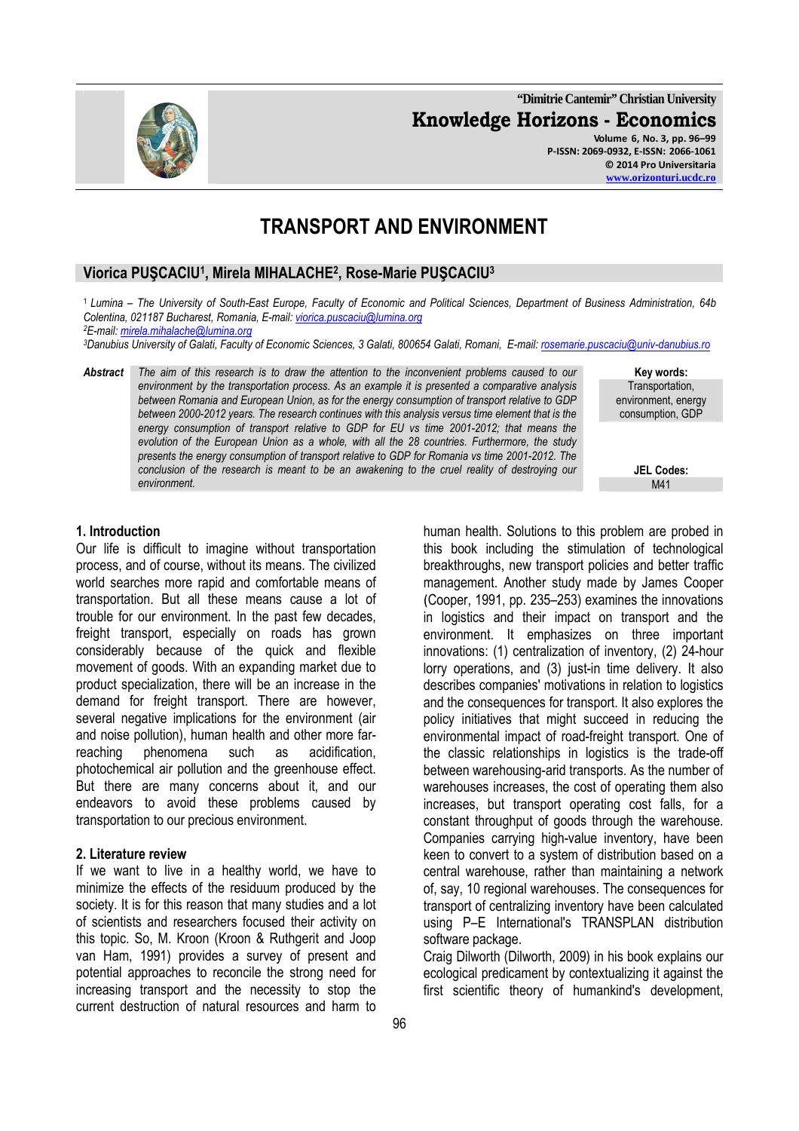**"Dimitrie Cantemir" Christian University Knowledge Horizons - Economics Volume 6, No. 3, pp. 96–99 P-ISSN: 2069-0932, E-ISSN: 2066-1061 © 2014 Pro Universitaria** 

# **TRANSPORT AND ENVIRONMENT**

## **Viorica PUŞCACIU<sup>1</sup> , Mirela MIHALACHE<sup>2</sup> , Rose-Marie PUŞCACIU<sup>3</sup>**

<sup>1</sup>*Lumina – The University of South-East Europe, Faculty of Economic and Political Sciences, Department of Business Administration, 64b Colentina, 021187 Bucharest, Romania, E-mail: viorica.puscaciu@lumina.org*

*<sup>2</sup>E-mail: mirela.mihalache@lumina.org*

*<sup>3</sup>Danubius University of Galati, Faculty of Economic Sciences, 3 Galati, 800654 Galati, Romani, E-mail: rosemarie.puscaciu@univ-danubius.ro*

*Abstract The aim of this research is to draw the attention to the inconvenient problems caused to our environment by the transportation process. As an example it is presented a comparative analysis between Romania and European Union, as for the energy consumption of transport relative to GDP between 2000-2012 years. The research continues with this analysis versus time element that is the energy consumption of transport relative to GDP for EU vs time 2001-2012; that means the evolution of the European Union as a whole, with all the 28 countries. Furthermore, the study presents the energy consumption of transport relative to GDP for Romania vs time 2001-2012. The conclusion of the research is meant to be an awakening to the cruel reality of destroying our environment.* M41

**Key words:**  Transportation, environment, energy consumption, GDP

**JEL Codes:**

### **1. Introduction**

Our life is difficult to imagine without transportation process, and of course, without its means. The civilized world searches more rapid and comfortable means of transportation. But all these means cause a lot of trouble for our environment. In the past few decades, freight transport, especially on roads has grown considerably because of the quick and flexible movement of goods. With an expanding market due to product specialization, there will be an increase in the demand for freight transport. There are however, several negative implications for the environment (air and noise pollution), human health and other more farreaching phenomena such as acidification, photochemical air pollution and the greenhouse effect. But there are many concerns about it, and our endeavors to avoid these problems caused by transportation to our precious environment.

#### **2. Literature review**

If we want to live in a healthy world, we have to minimize the effects of the residuum produced by the society. It is for this reason that many studies and a lot of scientists and researchers focused their activity on this topic. So, M. Kroon (Kroon & Ruthgerit and Joop van Ham, 1991) provides a survey of present and potential approaches to reconcile the strong need for increasing transport and the necessity to stop the current destruction of natural resources and harm to

human health. Solutions to this problem are probed in this book including the stimulation of technological breakthroughs, new transport policies and better traffic management. Another study made by James Cooper (Cooper, 1991, pp. 235–253) examines the innovations in logistics and their impact on transport and the environment. It emphasizes on three important innovations: (1) centralization of inventory, (2) 24-hour lorry operations, and (3) just-in time delivery. It also describes companies' motivations in relation to logistics and the consequences for transport. It also explores the policy initiatives that might succeed in reducing the environmental impact of road-freight transport. One of the classic relationships in logistics is the trade-off between warehousing-arid transports. As the number of warehouses increases, the cost of operating them also increases, but transport operating cost falls, for a constant throughput of goods through the warehouse. Companies carrying high-value inventory, have been keen to convert to a system of distribution based on a central warehouse, rather than maintaining a network of, say, 10 regional warehouses. The consequences for transport of centralizing inventory have been calculated using P–E International's TRANSPLAN distribution software package.

Craig Dilworth (Dilworth, 2009) in his book explains our ecological predicament by contextualizing it against the first scientific theory of humankind's development,

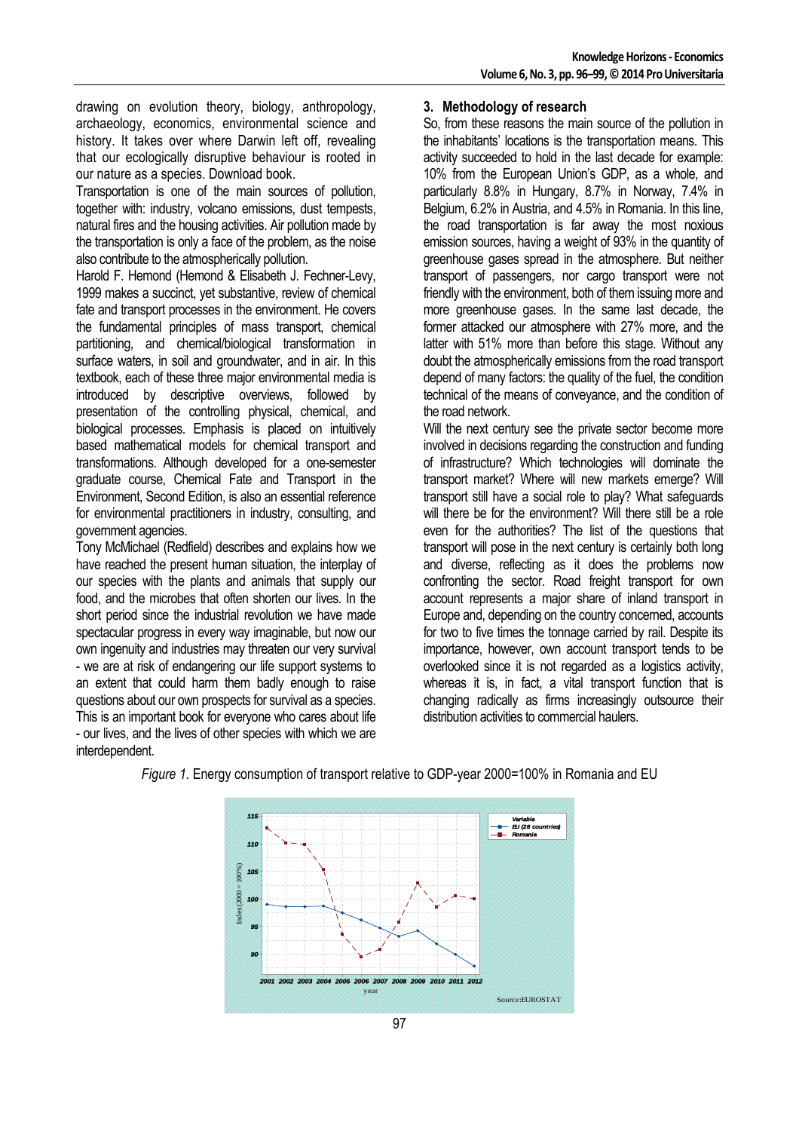drawing on evolution theory, biology, anthropology, archaeology, economics, environmental science and history. It takes over where Darwin left off, revealing that our ecologically disruptive behaviour is rooted in our nature as a species. Download book.

Transportation is one of the main sources of pollution, together with: industry, volcano emissions, dust tempests, natural fires and the housing activities. Air pollution made by the transportation is only a face of the problem, as the noise also contribute to the atmospherically pollution.

Harold F. Hemond (Hemond & Elisabeth J. Fechner-Levy, 1999 makes a succinct, yet substantive, review of chemical fate and transport processes in the environment. He covers the fundamental principles of mass transport, chemical partitioning, and chemical/biological transformation in surface waters, in soil and groundwater, and in air. In this textbook, each of these three major environmental media is introduced by descriptive overviews, followed by presentation of the controlling physical, chemical, and biological processes. Emphasis is placed on intuitively based mathematical models for chemical transport and transformations. Although developed for a one-semester graduate course, Chemical Fate and Transport in the Environment, Second Edition, is also an essential reference for environmental practitioners in industry, consulting, and government agencies.

Tony McMichael (Redfield) describes and explains how we have reached the present human situation, the interplay of our species with the plants and animals that supply our food, and the microbes that often shorten our lives. In the short period since the industrial revolution we have made spectacular progress in every way imaginable, but now our own ingenuity and industries may threaten our very survival - we are at risk of endangering our life support systems to an extent that could harm them badly enough to raise questions about our own prospects for survival as a species. This is an important book for everyone who cares about life - our lives, and the lives of other species with which we are interdependent.

#### **3. Methodology of research**

So, from these reasons the main source of the pollution in the inhabitants' locations is the transportation means. This activity succeeded to hold in the last decade for example: 10% from the European Union's GDP, as a whole, and particularly 8.8% in Hungary, 8.7% in Norway, 7.4% in Belgium, 6.2% in Austria, and 4.5% in Romania. In this line, the road transportation is far away the most noxious emission sources, having a weight of 93% in the quantity of greenhouse gases spread in the atmosphere. But neither transport of passengers, nor cargo transport were not friendly with the environment, both of them issuing more and more greenhouse gases. In the same last decade, the former attacked our atmosphere with 27% more, and the latter with 51% more than before this stage. Without any doubt the atmospherically emissions from the road transport depend of many factors: the quality of the fuel, the condition technical of the means of conveyance, and the condition of the road network.

Will the next century see the private sector become more involved in decisions regarding the construction and funding of infrastructure? Which technologies will dominate the transport market? Where will new markets emerge? Will transport still have a social role to play? What safeguards will there be for the environment? Will there still be a role even for the authorities? The list of the questions that transport will pose in the next century is certainly both long and diverse, reflecting as it does the problems now confronting the sector. Road freight transport for own account represents a major share of inland transport in Europe and, depending on the country concerned, accounts for two to five times the tonnage carried by rail. Despite its importance, however, own account transport tends to be overlooked since it is not regarded as a logistics activity, whereas it is, in fact, a vital transport function that is changing radically as firms increasingly outsource their distribution activities to commercial haulers.



*Figure 1.* Energy consumption of transport relative to GDP-year 2000=100% in Romania and EU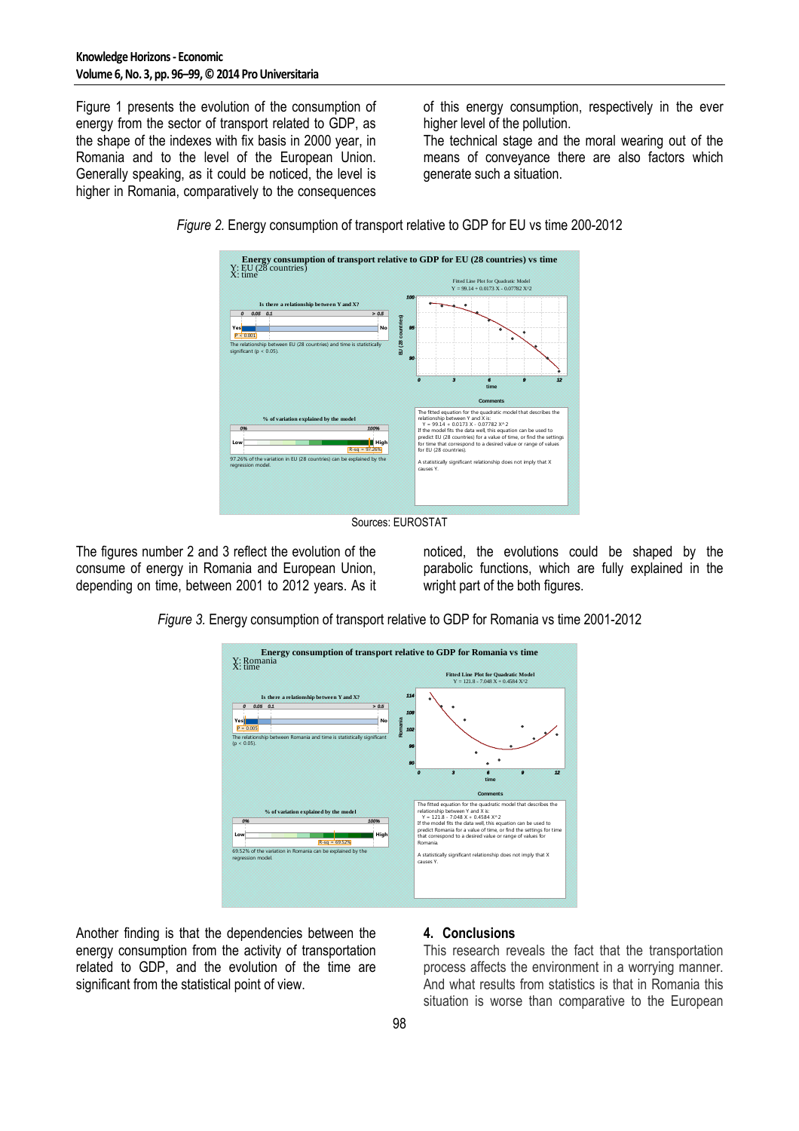Figure 1 presents the evolution of the consumption of energy from the sector of transport related to GDP, as the shape of the indexes with fix basis in 2000 year, in Romania and to the level of the European Union. Generally speaking, as it could be noticed, the level is higher in Romania, comparatively to the consequences

of this energy consumption, respectively in the ever higher level of the pollution.

The technical stage and the moral wearing out of the means of conveyance there are also factors which generate such a situation.



*Figure 2.* Energy consumption of transport relative to GDP for EU vs time 200-2012

Sources: EUROSTAT

The figures number 2 and 3 reflect the evolution of the consume of energy in Romania and European Union, depending on time, between 2001 to 2012 years. As it

noticed, the evolutions could be shaped by the parabolic functions, which are fully explained in the wright part of the both figures.

*Figure 3.* Energy consumption of transport relative to GDP for Romania vs time 2001-2012



Another finding is that the dependencies between the energy consumption from the activity of transportation related to GDP, and the evolution of the time are significant from the statistical point of view.

### **4. Conclusions**

This research reveals the fact that the transportation process affects the environment in a worrying manner. And what results from statistics is that in Romania this situation is worse than comparative to the European